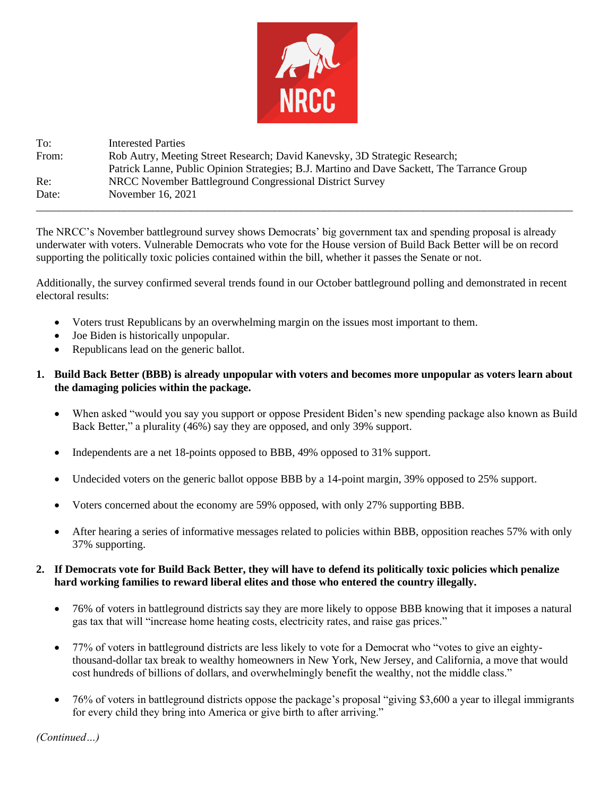

To: Interested Parties From: Rob Autry, Meeting Street Research; David Kanevsky, 3D Strategic Research; Patrick Lanne, Public Opinion Strategies; B.J. Martino and Dave Sackett, The Tarrance Group Re: NRCC November Battleground Congressional District Survey Date: November 16, 2021 \_\_\_\_\_\_\_\_\_\_\_\_\_\_\_\_\_\_\_\_\_\_\_\_\_\_\_\_\_\_\_\_\_\_\_\_\_\_\_\_\_\_\_\_\_\_\_\_\_\_\_\_\_\_\_\_\_\_\_\_\_\_\_\_\_\_\_\_\_\_\_\_\_\_\_\_\_\_\_\_\_\_\_\_\_\_\_\_\_\_\_\_\_\_\_\_\_

The NRCC's November battleground survey shows Democrats' big government tax and spending proposal is already underwater with voters. Vulnerable Democrats who vote for the House version of Build Back Better will be on record supporting the politically toxic policies contained within the bill, whether it passes the Senate or not.

Additionally, the survey confirmed several trends found in our October battleground polling and demonstrated in recent electoral results:

- Voters trust Republicans by an overwhelming margin on the issues most important to them.
- Joe Biden is historically unpopular.
- Republicans lead on the generic ballot.

# **1. Build Back Better (BBB) is already unpopular with voters and becomes more unpopular as voters learn about the damaging policies within the package.**

- When asked "would you say you support or oppose President Biden's new spending package also known as Build Back Better," a plurality (46%) say they are opposed, and only 39% support.
- Independents are a net 18-points opposed to BBB, 49% opposed to 31% support.
- Undecided voters on the generic ballot oppose BBB by a 14-point margin, 39% opposed to 25% support.
- Voters concerned about the economy are 59% opposed, with only 27% supporting BBB.
- After hearing a series of informative messages related to policies within BBB, opposition reaches 57% with only 37% supporting.

## **2. If Democrats vote for Build Back Better, they will have to defend its politically toxic policies which penalize hard working families to reward liberal elites and those who entered the country illegally.**

- 76% of voters in battleground districts say they are more likely to oppose BBB knowing that it imposes a natural gas tax that will "increase home heating costs, electricity rates, and raise gas prices."
- 77% of voters in battleground districts are less likely to vote for a Democrat who "votes to give an eightythousand-dollar tax break to wealthy homeowners in New York, New Jersey, and California, a move that would cost hundreds of billions of dollars, and overwhelmingly benefit the wealthy, not the middle class."
- 76% of voters in battleground districts oppose the package's proposal "giving \$3,600 a year to illegal immigrants for every child they bring into America or give birth to after arriving."

*(Continued…)*